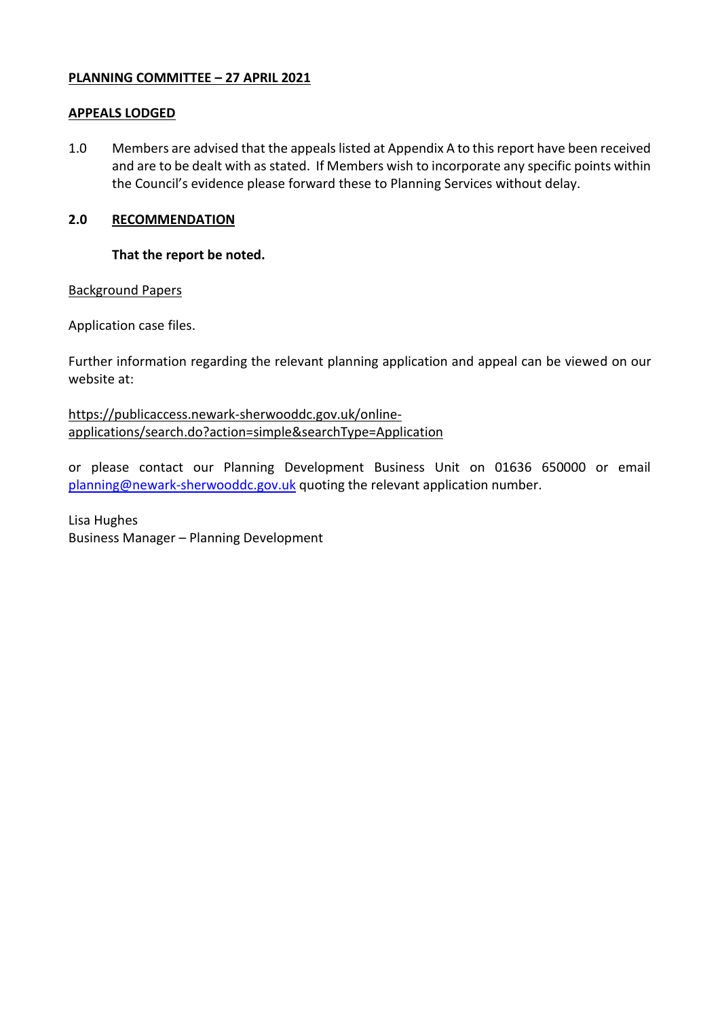### **PLANNING COMMITTEE – 27 APRIL 2021**

### **APPEALS LODGED**

1.0 Members are advised that the appeals listed at Appendix A to this report have been received and are to be dealt with as stated. If Members wish to incorporate any specific points within the Council's evidence please forward these to Planning Services without delay.

## **2.0 RECOMMENDATION**

### **That the report be noted.**

#### Background Papers

Application case files.

Further information regarding the relevant planning application and appeal can be viewed on our website at:

[https://publicaccess.newark-sherwooddc.gov.uk/online](https://publicaccess.newark-sherwooddc.gov.uk/online-applications/search.do?action=simple&searchType=Application)[applications/search.do?action=simple&searchType=Application](https://publicaccess.newark-sherwooddc.gov.uk/online-applications/search.do?action=simple&searchType=Application)

or please contact our Planning Development Business Unit on 01636 650000 or email [planning@newark-sherwooddc.gov.uk](mailto:planning@newark-sherwooddc.gov.uk) quoting the relevant application number.

Lisa Hughes Business Manager – Planning Development